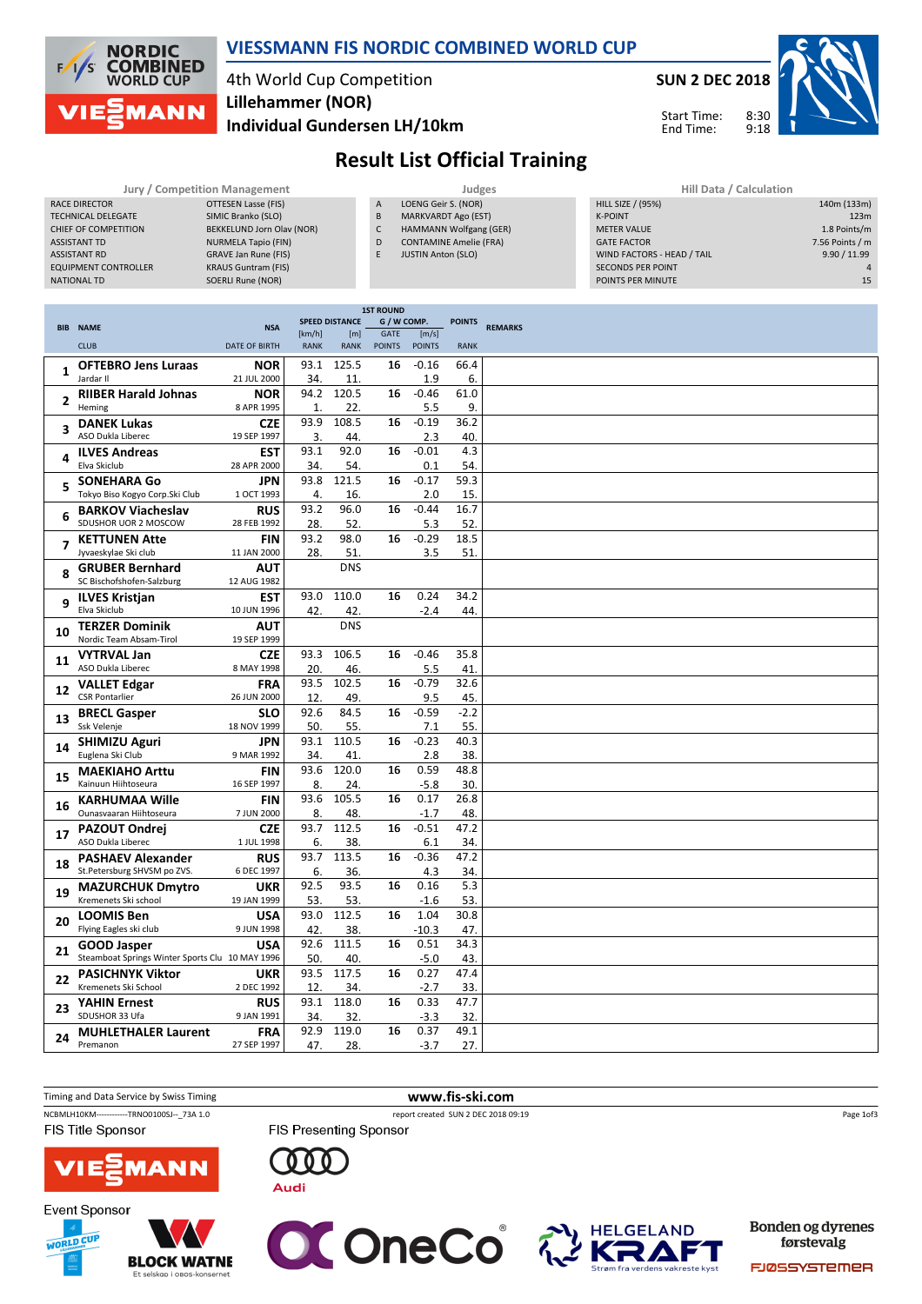

#### VIESSMANN FIS NORDIC COMBINED WORLD CUP

### 4th World Cup Competition Individual Gundersen LH/10km Lillehammer (NOR)

SUN 2 DEC 2018

8:30 9:18



140m (133m)

Start Time: End Time:

# Result List Official Training

|            | Jury / Competition Management                             |                      |             |                              |                     | Judges                        |                            | Hill Data / Calculation |                                            |             |  |  |  |
|------------|-----------------------------------------------------------|----------------------|-------------|------------------------------|---------------------|-------------------------------|----------------------------|-------------------------|--------------------------------------------|-------------|--|--|--|
|            | <b>RACE DIRECTOR</b><br><b>OTTESEN Lasse (FIS)</b>        |                      |             |                              |                     |                               | LOENG Geir S. (NOR)        |                         | <b>HILL SIZE / (95%)</b>                   | 140m (133m) |  |  |  |
|            | SIMIC Branko (SLO)<br><b>TECHNICAL DELEGATE</b>           |                      |             |                              |                     |                               | <b>MARKVARDT Ago (EST)</b> |                         | <b>K-POINT</b>                             | 123m        |  |  |  |
|            | BEKKELUND Jorn Olav (NOR)<br><b>CHIEF OF COMPETITION</b>  |                      |             |                              |                     |                               | HAMMANN Wolfgang (GER)     |                         | 1.8 Points/m<br><b>METER VALUE</b>         |             |  |  |  |
|            | <b>ASSISTANT TD</b><br><b>NURMELA Tapio (FIN)</b>         |                      |             |                              |                     | <b>CONTAMINE Amelie (FRA)</b> |                            |                         | 7.56 Points / m<br><b>GATE FACTOR</b>      |             |  |  |  |
|            | <b>GRAVE Jan Rune (FIS)</b><br><b>ASSISTANT RD</b>        |                      |             |                              | E.                  | <b>JUSTIN Anton (SLO)</b>     |                            |                         | 9.90 / 11.99<br>WIND FACTORS - HEAD / TAIL |             |  |  |  |
|            | <b>EQUIPMENT CONTROLLER</b><br><b>KRAUS Guntram (FIS)</b> |                      |             |                              |                     |                               |                            |                         | <b>SECONDS PER POINT</b>                   |             |  |  |  |
|            | SOERLI Rune (NOR)<br><b>NATIONAL TD</b>                   |                      |             |                              |                     |                               |                            |                         | POINTS PER MINUTE                          | 15          |  |  |  |
|            |                                                           |                      |             |                              |                     |                               |                            |                         |                                            |             |  |  |  |
|            |                                                           |                      |             |                              | <b>1ST ROUND</b>    |                               |                            |                         |                                            |             |  |  |  |
| <b>BIB</b> | <b>NAME</b>                                               | <b>NSA</b>           | [km/h]      | <b>SPEED DISTANCE</b><br>[m] | G / W COMP.<br>GATE | [m/s]                         | <b>POINTS</b>              | <b>REMARKS</b>          |                                            |             |  |  |  |
|            | <b>CLUB</b>                                               | <b>DATE OF BIRTH</b> | <b>RANK</b> | <b>RANK</b>                  | <b>POINTS</b>       | <b>POINTS</b>                 | <b>RANK</b>                |                         |                                            |             |  |  |  |
|            | <b>OFTEBRO Jens Luraas</b>                                | <b>NOR</b>           | 93.1        | 125.5                        | 16                  | $-0.16$                       | 66.4                       |                         |                                            |             |  |  |  |
|            | Jardar II                                                 | 21 JUL 2000          | 34.         | 11.                          |                     | 1.9                           | 6.                         |                         |                                            |             |  |  |  |
|            | <b>RIIBER Harald Johnas</b>                               | <b>NOR</b>           | 94.2        | 120.5                        | 16                  | $-0.46$                       | 61.0                       |                         |                                            |             |  |  |  |
|            | Heming                                                    | 8 APR 1995           |             | 22.                          |                     | 5.5                           | 9.                         |                         |                                            |             |  |  |  |
| э          | <b>DANEK Lukas</b>                                        | <b>CZE</b>           | 93.9        | 108.5                        | 16                  | $-0.19$                       | 36.2                       |                         |                                            |             |  |  |  |
|            | ASO Dukla Liberec                                         | 19 SEP 1997          | 3.          | 44.                          |                     | 2.3                           | 40.                        |                         |                                            |             |  |  |  |
|            | <b>ILVES Andreas</b>                                      | <b>EST</b>           | 93.1        | 92.0                         | 16                  | $-0.01$                       | 4.3                        |                         |                                            |             |  |  |  |

| $\mathbf{2}$ | <b>RIIBER Harald Johnas</b>                         | <b>NOR</b>         |                | 94.2 120.5 | 16 | $-0.46$ | 61.0   |  |
|--------------|-----------------------------------------------------|--------------------|----------------|------------|----|---------|--------|--|
|              | Heming                                              | 8 APR 1995         | $\mathbf{1}$ . | 22.        |    | 5.5     | 9.     |  |
|              | <b>DANEK Lukas</b>                                  | <b>CZE</b>         | 93.9           | 108.5      | 16 | $-0.19$ | 36.2   |  |
| 3            | ASO Dukla Liberec                                   | 19 SEP 1997        | 3.             | 44.        |    | 2.3     | 40.    |  |
|              | <b>ILVES Andreas</b>                                | <b>EST</b>         | 93.1           | 92.0       | 16 | $-0.01$ | 4.3    |  |
| 4            | Elva Skiclub                                        | 28 APR 2000        | 34.            | 54.        |    | 0.1     | 54.    |  |
|              | <b>SONEHARA Go</b>                                  | <b>JPN</b>         | 93.8           | 121.5      | 16 | $-0.17$ | 59.3   |  |
| 5            | Tokyo Biso Kogyo Corp.Ski Club                      | 1 OCT 1993         | 4.             | 16.        |    | 2.0     | 15.    |  |
|              | <b>BARKOV Viacheslav</b>                            | <b>RUS</b>         | 93.2           | 96.0       | 16 | $-0.44$ | 16.7   |  |
| 6            | SDUSHOR UOR 2 MOSCOW                                | 28 FEB 1992        | 28.            | 52.        |    | 5.3     | 52.    |  |
|              | <b>KETTUNEN Atte</b>                                | <b>FIN</b>         | 93.2           | 98.0       | 16 | $-0.29$ | 18.5   |  |
|              | Jyvaeskylae Ski club                                | 11 JAN 2000        | 28.            | 51.        |    | 3.5     | 51.    |  |
|              |                                                     |                    |                | <b>DNS</b> |    |         |        |  |
| 8            | <b>GRUBER Bernhard</b><br>SC Bischofshofen-Salzburg | AUT<br>12 AUG 1982 |                |            |    |         |        |  |
|              |                                                     |                    | 93.0           | 110.0      | 16 | 0.24    | 34.2   |  |
| q            | <b>ILVES Kristjan</b><br>Elva Skiclub               | <b>EST</b>         |                |            |    |         |        |  |
|              |                                                     | 10 JUN 1996        | 42.            | 42.        |    | $-2.4$  | 44.    |  |
| 10           | <b>TERZER Dominik</b>                               | AUT                |                | <b>DNS</b> |    |         |        |  |
|              | Nordic Team Absam-Tirol                             | 19 SEP 1999        |                |            |    |         |        |  |
| 11           | <b>VYTRVAL Jan</b>                                  | <b>CZE</b>         | 93.3           | 106.5      | 16 | $-0.46$ | 35.8   |  |
|              | ASO Dukla Liberec                                   | 8 MAY 1998         | 20.            | 46.        |    | 5.5     | 41.    |  |
| 12           | <b>VALLET Edgar</b>                                 | <b>FRA</b>         | 93.5           | 102.5      | 16 | $-0.79$ | 32.6   |  |
|              | <b>CSR Pontarlier</b>                               | 26 JUN 2000        | 12.            | 49.        |    | 9.5     | 45.    |  |
| 13           | <b>BRECL Gasper</b>                                 | <b>SLO</b>         | 92.6           | 84.5       | 16 | $-0.59$ | $-2.2$ |  |
|              | Ssk Velenje                                         | 18 NOV 1999        | 50.            | 55.        |    | 7.1     | 55.    |  |
| 14           | <b>SHIMIZU Aguri</b>                                | <b>JPN</b>         | 93.1           | 110.5      | 16 | $-0.23$ | 40.3   |  |
|              | Euglena Ski Club                                    | 9 MAR 1992         | 34.            | 41.        |    | 2.8     | 38.    |  |
| 15           | <b>MAEKIAHO Arttu</b>                               | <b>FIN</b>         | 93.6           | 120.0      | 16 | 0.59    | 48.8   |  |
|              | Kainuun Hiihtoseura                                 | 16 SEP 1997        | 8.             | 24.        |    | $-5.8$  | 30.    |  |
| 16           | <b>KARHUMAA Wille</b>                               | <b>FIN</b>         | 93.6           | 105.5      | 16 | 0.17    | 26.8   |  |
|              | Ounasvaaran Hiihtoseura                             | 7 JUN 2000         | 8.             | 48.        |    | $-1.7$  | 48.    |  |
| 17           | <b>PAZOUT Ondrej</b>                                | <b>CZE</b>         | 93.7           | 112.5      | 16 | $-0.51$ | 47.2   |  |
|              | ASO Dukla Liberec                                   | 1 JUL 1998         | 6.             | 38.        |    | 6.1     | 34.    |  |
|              | <b>PASHAEV Alexander</b>                            | <b>RUS</b>         | 93.7           | 113.5      | 16 | $-0.36$ | 47.2   |  |
| 18           | St.Petersburg SHVSM po ZVS.                         | 6 DEC 1997         | 6.             | 36.        |    | 4.3     | 34.    |  |
|              | <b>MAZURCHUK Dmytro</b>                             | <b>UKR</b>         | 92.5           | 93.5       | 16 | 0.16    | 5.3    |  |
| 19           | Kremenets Ski school                                | 19 JAN 1999        | 53.            | 53.        |    | $-1.6$  | 53.    |  |
|              | <b>LOOMIS Ben</b>                                   | <b>USA</b>         | 93.0           | 112.5      | 16 | 1.04    | 30.8   |  |
| 20           | Flying Eagles ski club                              | 9 JUN 1998         | 42.            | 38.        |    | $-10.3$ | 47.    |  |
|              | <b>GOOD Jasper</b>                                  | <b>USA</b>         | 92.6           | 111.5      | 16 | 0.51    | 34.3   |  |
| 21           | Steamboat Springs Winter Sports Clu 10 MAY 1996     |                    | 50.            | 40.        |    | $-5.0$  | 43.    |  |
|              | <b>PASICHNYK Viktor</b>                             | <b>UKR</b>         | 93.5           | 117.5      | 16 | 0.27    | 47.4   |  |
| 22           | Kremenets Ski School                                | 2 DEC 1992         | 12.            | 34.        |    | $-2.7$  | 33.    |  |
|              | <b>YAHIN Ernest</b>                                 | <b>RUS</b>         | 93.1           | 118.0      | 16 | 0.33    | 47.7   |  |
| 23           | SDUSHOR 33 Ufa                                      | 9 JAN 1991         | 34.            | 32.        |    | $-3.3$  | 32.    |  |
|              | <b>MUHLETHALER Laurent</b>                          | <b>FRA</b>         | 92.9           | 119.0      | 16 | 0.37    | 49.1   |  |
| 24           | Premanon                                            | 27 SEP 1997        | 47.            | 28.        |    | $-3.7$  | 27.    |  |
|              |                                                     |                    |                |            |    |         |        |  |









Bonden og dyrenes førstevalg

FJØSSYSTEMER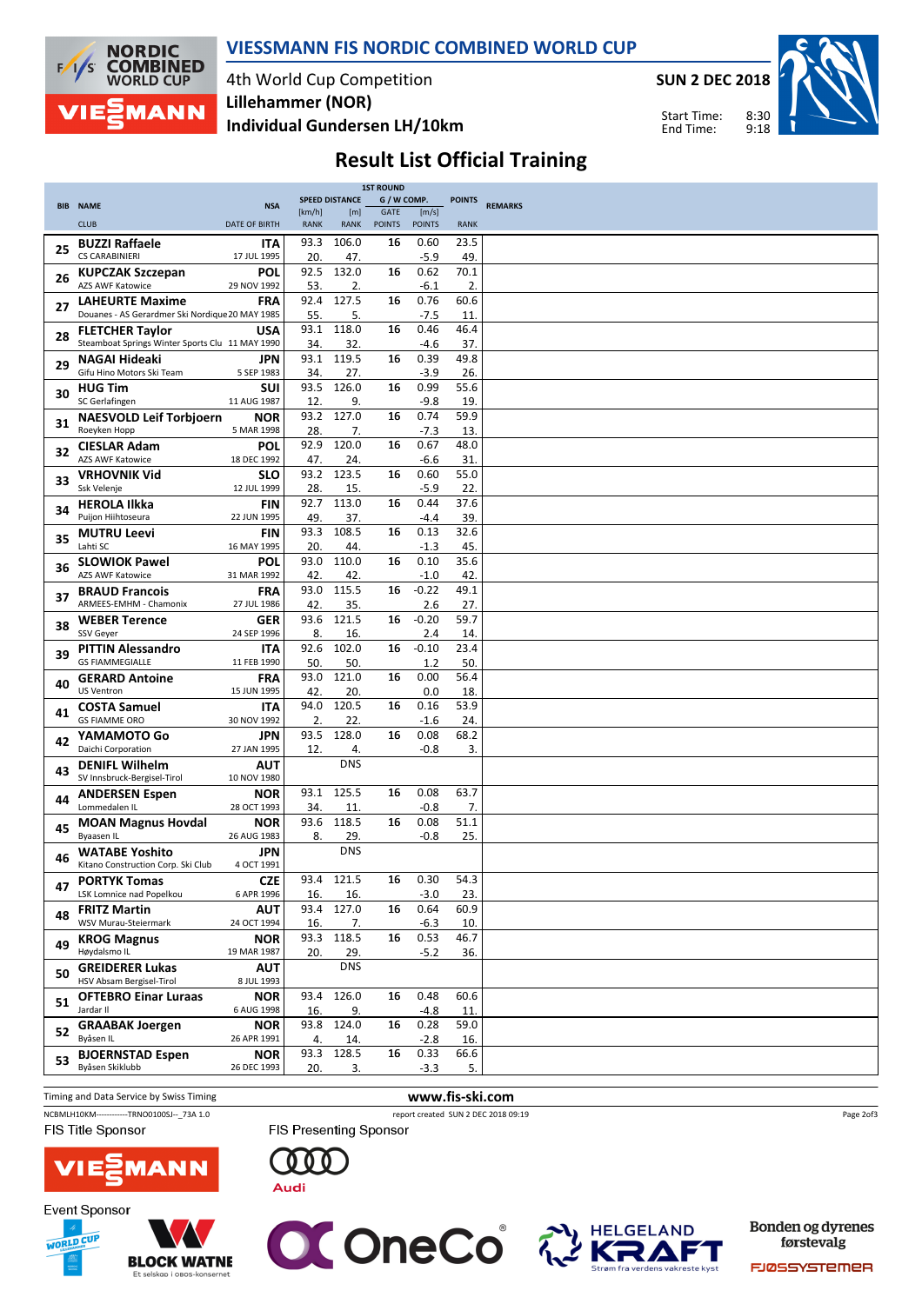

VIESSMANN FIS NORDIC COMBINED WORLD CUP

4th World Cup Competition Individual Gundersen LH/10km Lillehammer (NOR)

SUN 2 DEC 2018

8:30 9:18 Start Time: End Time:



## Result List Official Training

|    |                                                 |                      |             |                       | <b>1ST ROUND</b> |               |               |                |
|----|-------------------------------------------------|----------------------|-------------|-----------------------|------------------|---------------|---------------|----------------|
|    | <b>BIB NAME</b>                                 | <b>NSA</b>           |             | <b>SPEED DISTANCE</b> | G / W COMP.      |               | <b>POINTS</b> | <b>REMARKS</b> |
|    |                                                 |                      | [km/h]      | [m]                   | GATE             | [m/s]         |               |                |
|    | <b>CLUB</b>                                     | <b>DATE OF BIRTH</b> | <b>RANK</b> | <b>RANK</b>           | <b>POINTS</b>    | <b>POINTS</b> | <b>RANK</b>   |                |
|    | <b>BUZZI Raffaele</b>                           | <b>ITA</b>           | 93.3        | 106.0                 | 16               | 0.60          | 23.5          |                |
| 25 | <b>CS CARABINIERI</b>                           | 17 JUL 1995          | 20.         | 47.                   |                  | $-5.9$        | 49.           |                |
|    |                                                 |                      |             |                       |                  |               |               |                |
| 26 | <b>KUPCZAK Szczepan</b>                         | POL                  | 92.5        | 132.0                 | 16               | 0.62          | 70.1          |                |
|    | <b>AZS AWF Katowice</b>                         | 29 NOV 1992          | 53.         | 2.                    |                  | $-6.1$        | 2.            |                |
| 27 | <b>LAHEURTE Maxime</b>                          | <b>FRA</b>           | 92.4        | 127.5                 | 16               | 0.76          | 60.6          |                |
|    | Douanes - AS Gerardmer Ski Nordique 20 MAY 1985 |                      | 55.         | 5.                    |                  | $-7.5$        | 11.           |                |
|    | <b>FLETCHER Taylor</b>                          | <b>USA</b>           | 93.1        | 118.0                 | 16               | 0.46          | 46.4          |                |
| 28 | Steamboat Springs Winter Sports Clu 11 MAY 1990 |                      | 34.         | 32.                   |                  | $-4.6$        | 37.           |                |
|    |                                                 |                      | 93.1        | 119.5                 | 16               | 0.39          | 49.8          |                |
| 29 | NAGAI Hideaki<br>Gifu Hino Motors Ski Team      | JPN<br>5 SEP 1983    |             |                       |                  |               |               |                |
|    |                                                 |                      | 34.         | 27.                   |                  | $-3.9$        | 26.           |                |
| 30 | <b>HUG Tim</b>                                  | SUI                  | 93.5        | 126.0                 | 16               | 0.99          | 55.6          |                |
|    | SC Gerlafingen                                  | 11 AUG 1987          | 12.         | 9.                    |                  | $-9.8$        | 19.           |                |
| 31 | <b>NAESVOLD Leif Torbjoern</b>                  | <b>NOR</b>           | 93.2        | 127.0                 | 16               | 0.74          | 59.9          |                |
|    | Roeyken Hopp                                    | 5 MAR 1998           | 28.         | 7.                    |                  | $-7.3$        | 13.           |                |
|    | <b>CIESLAR Adam</b>                             | <b>POL</b>           | 92.9        | 120.0                 | 16               | 0.67          | 48.0          |                |
| 32 | <b>AZS AWF Katowice</b>                         | 18 DEC 1992          | 47.         | 24.                   |                  | $-6.6$        | 31.           |                |
|    | <b>VRHOVNIK Vid</b>                             | <b>SLO</b>           | 93.2        | 123.5                 | 16               | 0.60          | 55.0          |                |
| 33 | Ssk Velenje                                     |                      |             |                       |                  |               |               |                |
|    |                                                 | 12 JUL 1999          | 28.         | 15.                   |                  | $-5.9$        | 22.           |                |
| 34 | <b>HEROLA Ilkka</b>                             | FIN                  | 92.7        | 113.0                 | 16               | 0.44          | 37.6          |                |
|    | Puijon Hiihtoseura                              | 22 JUN 1995          | 49.         | 37.                   |                  | $-4.4$        | 39.           |                |
|    | <b>MUTRU Leevi</b>                              | <b>FIN</b>           | 93.3        | 108.5                 | 16               | 0.13          | 32.6          |                |
| 35 | Lahti SC                                        | 16 MAY 1995          | 20.         | 44.                   |                  | $-1.3$        | 45.           |                |
|    | <b>SLOWIOK Pawel</b>                            | POL                  | 93.0        | 110.0                 | 16               | 0.10          | 35.6          |                |
| 36 | <b>AZS AWF Katowice</b>                         | 31 MAR 1992          | 42.         | 42.                   |                  | $-1.0$        | 42.           |                |
|    |                                                 |                      | 93.0        | 115.5                 | 16               | $-0.22$       | 49.1          |                |
| 37 | <b>BRAUD Francois</b>                           | <b>FRA</b>           |             |                       |                  |               |               |                |
|    | ARMEES-EMHM - Chamonix                          | 27 JUL 1986          | 42.         | 35.                   |                  | 2.6           | 27.           |                |
| 38 | <b>WEBER Terence</b>                            | <b>GER</b>           | 93.6        | 121.5                 | 16               | $-0.20$       | 59.7          |                |
|    | <b>SSV Gever</b>                                | 24 SEP 1996          | 8.          | 16.                   |                  | 2.4           | 14.           |                |
|    | <b>PITTIN Alessandro</b>                        | <b>ITA</b>           | 92.6        | 102.0                 | 16               | $-0.10$       | 23.4          |                |
| 39 | <b>GS FIAMMEGIALLE</b>                          | 11 FEB 1990          | 50.         | 50.                   |                  | 1.2           | 50.           |                |
|    | <b>GERARD Antoine</b>                           | <b>FRA</b>           | 93.0        | 121.0                 | 16               | 0.00          | 56.4          |                |
| 40 | <b>US Ventron</b>                               | 15 JUN 1995          | 42.         | 20.                   |                  | 0.0           | 18.           |                |
|    |                                                 |                      | 94.0        | 120.5                 | 16               | 0.16          | 53.9          |                |
| 41 | <b>COSTA Samuel</b>                             | <b>ITA</b>           |             |                       |                  |               |               |                |
|    | <b>GS FIAMME ORO</b>                            | 30 NOV 1992          | 2.          | 22.                   |                  | $-1.6$        | 24.           |                |
| 42 | YAMAMOTO Go                                     | JPN                  | 93.5        | 128.0                 | 16               | 0.08          | 68.2          |                |
|    | Daichi Corporation                              | 27 JAN 1995          | 12.         | 4.                    |                  | $-0.8$        | 3.            |                |
|    | <b>DENIFL Wilhelm</b>                           | <b>AUT</b>           |             | <b>DNS</b>            |                  |               |               |                |
| 43 | SV Innsbruck-Bergisel-Tirol                     | 10 NOV 1980          |             |                       |                  |               |               |                |
|    | <b>ANDERSEN Espen</b>                           | <b>NOR</b>           | 93.1        | 125.5                 | 16               | 0.08          | 63.7          |                |
| 44 | Lommedalen IL                                   | 28 OCT 1993          | 34.         | 11.                   |                  | $-0.8$        | 7.            |                |
|    |                                                 | <b>NOR</b>           | 93.6        | 118.5                 | 16               | 0.08          | 51.1          |                |
| 45 | <b>MOAN Magnus Hovdal</b><br><b>Byaasen IL</b>  |                      |             |                       |                  |               |               |                |
|    |                                                 | 26 AUG 1983          | 8.          | 29.                   |                  | $-0.8$        | 25.           |                |
| 46 | <b>WATABE Yoshito</b>                           | <b>JPN</b>           |             | <b>DNS</b>            |                  |               |               |                |
|    | Kitano Construction Corp. Ski Club              | 4 OCT 1991           |             |                       |                  |               |               |                |
| 47 | <b>PORTYK Tomas</b>                             | <b>CZE</b>           |             | 93.4 121.5            | 16               | 0.30          | 54.3          |                |
|    | LSK Lomnice nad Popelkou                        | 6 APR 1996           | 16.         | 16.                   |                  | $-3.0$        | 23.           |                |
|    | <b>FRITZ Martin</b>                             | <b>AUT</b>           | 93.4        | 127.0                 | 16               | 0.64          | 60.9          |                |
| 48 | WSV Murau-Steiermark                            | 24 OCT 1994          | 16.         | 7.                    |                  | $-6.3$        | 10.           |                |
|    | <b>KROG Magnus</b>                              | <b>NOR</b>           | 93.3        | 118.5                 | 16               | 0.53          | 46.7          |                |
| 49 | Høydalsmo IL                                    | 19 MAR 1987          | 20.         | 29.                   |                  | $-5.2$        | 36.           |                |
|    |                                                 |                      |             |                       |                  |               |               |                |
| 50 | <b>GREIDERER Lukas</b>                          | <b>AUT</b>           |             | <b>DNS</b>            |                  |               |               |                |
|    | HSV Absam Bergisel-Tirol                        | 8 JUL 1993           |             |                       |                  |               |               |                |
| 51 | <b>OFTEBRO Einar Luraas</b>                     | <b>NOR</b>           | 93.4        | 126.0                 | 16               | 0.48          | 60.6          |                |
|    | Jardar II                                       | 6 AUG 1998           | 16.         | 9.                    |                  | $-4.8$        | 11.           |                |
|    | <b>GRAABAK Joergen</b>                          | <b>NOR</b>           | 93.8        | 124.0                 | 16               | 0.28          | 59.0          |                |
| 52 | Byåsen IL                                       | 26 APR 1991          | 4.          | 14.                   |                  | $-2.8$        | 16.           |                |
|    | <b>BJOERNSTAD Espen</b>                         | <b>NOR</b>           | 93.3        | 128.5                 | 16               | 0.33          | 66.6          |                |
| 53 | Byåsen Skiklubb                                 | 26 DEC 1993          | 20.         | 3.                    |                  | $-3.3$        | 5.            |                |
|    |                                                 |                      |             |                       |                  |               |               |                |

Timing and Data Service by Swiss Timing WWW.fis-ski.com NCBMLH10KM------------TRNO0100SJ--\_73A 1.0 report created SUN 2 DEC 2018 09:19

FIS Title Sponsor

**Event Sponsor** 

WORLD CUP





FIS Presenting Sponsor





Bonden og dyrenes førstevalg

Page 2of3

FJØSSYSTEMER